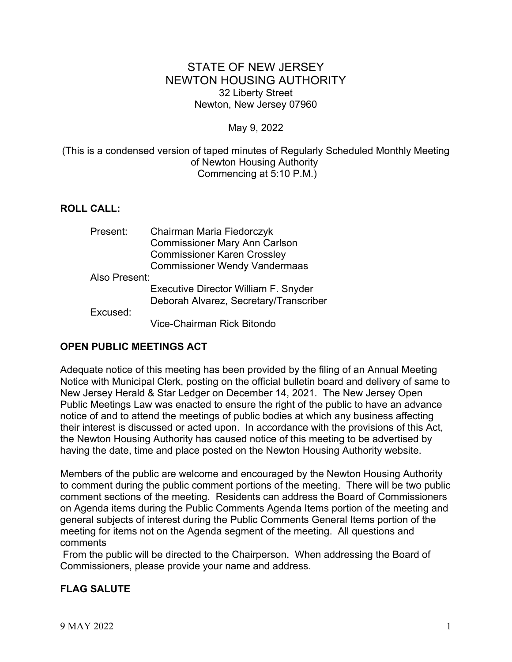# STATE OF NEW JERSEY NEWTON HOUSING AUTHORITY 32 Liberty Street Newton, New Jersey 07960

### May 9, 2022

### (This is a condensed version of taped minutes of Regularly Scheduled Monthly Meeting of Newton Housing Authority Commencing at 5:10 P.M.)

# **ROLL CALL:**

| Present:      | Chairman Maria Fiedorczyk              |
|---------------|----------------------------------------|
|               | <b>Commissioner Mary Ann Carlson</b>   |
|               | <b>Commissioner Karen Crossley</b>     |
|               | <b>Commissioner Wendy Vandermaas</b>   |
| Also Present: |                                        |
|               | Executive Director William F. Snyder   |
|               | Deborah Alvarez, Secretary/Transcriber |
| Excused:      |                                        |
|               | Vice-Chairman Rick Bitondo             |

### **OPEN PUBLIC MEETINGS ACT**

Adequate notice of this meeting has been provided by the filing of an Annual Meeting Notice with Municipal Clerk, posting on the official bulletin board and delivery of same to New Jersey Herald & Star Ledger on December 14, 2021. The New Jersey Open Public Meetings Law was enacted to ensure the right of the public to have an advance notice of and to attend the meetings of public bodies at which any business affecting their interest is discussed or acted upon. In accordance with the provisions of this Act, the Newton Housing Authority has caused notice of this meeting to be advertised by having the date, time and place posted on the Newton Housing Authority website.

Members of the public are welcome and encouraged by the Newton Housing Authority to comment during the public comment portions of the meeting. There will be two public comment sections of the meeting. Residents can address the Board of Commissioners on Agenda items during the Public Comments Agenda Items portion of the meeting and general subjects of interest during the Public Comments General Items portion of the meeting for items not on the Agenda segment of the meeting. All questions and comments

 From the public will be directed to the Chairperson. When addressing the Board of Commissioners, please provide your name and address.

# **FLAG SALUTE**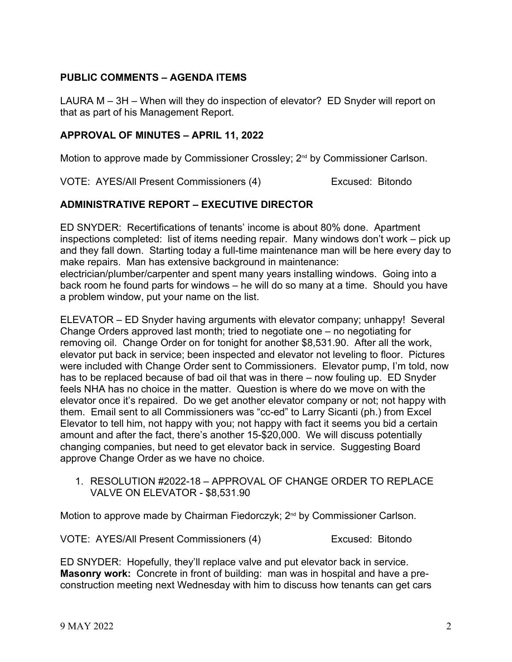# **PUBLIC COMMENTS – AGENDA ITEMS**

LAURA M – 3H – When will they do inspection of elevator? ED Snyder will report on that as part of his Management Report.

### **APPROVAL OF MINUTES – APRIL 11, 2022**

Motion to approve made by Commissioner Crossley; 2<sup>nd</sup> by Commissioner Carlson.

VOTE: AYES/All Present Commissioners (4) Excused: Bitondo

# **ADMINISTRATIVE REPORT – EXECUTIVE DIRECTOR**

ED SNYDER: Recertifications of tenants' income is about 80% done. Apartment inspections completed: list of items needing repair. Many windows don't work – pick up and they fall down. Starting today a full-time maintenance man will be here every day to make repairs. Man has extensive background in maintenance: electrician/plumber/carpenter and spent many years installing windows. Going into a back room he found parts for windows – he will do so many at a time. Should you have

a problem window, put your name on the list.

ELEVATOR – ED Snyder having arguments with elevator company; unhappy! Several Change Orders approved last month; tried to negotiate one – no negotiating for removing oil. Change Order on for tonight for another \$8,531.90. After all the work, elevator put back in service; been inspected and elevator not leveling to floor. Pictures were included with Change Order sent to Commissioners. Elevator pump, I'm told, now has to be replaced because of bad oil that was in there – now fouling up. ED Snyder feels NHA has no choice in the matter. Question is where do we move on with the elevator once it's repaired. Do we get another elevator company or not; not happy with them. Email sent to all Commissioners was "cc-ed" to Larry Sicanti (ph.) from Excel Elevator to tell him, not happy with you; not happy with fact it seems you bid a certain amount and after the fact, there's another 15-\$20,000. We will discuss potentially changing companies, but need to get elevator back in service. Suggesting Board approve Change Order as we have no choice.

1. RESOLUTION #2022-18 – APPROVAL OF CHANGE ORDER TO REPLACE VALVE ON ELEVATOR - \$8,531.90

Motion to approve made by Chairman Fiedorczyk; 2<sup>nd</sup> by Commissioner Carlson.

VOTE: AYES/All Present Commissioners (4) Excused: Bitondo

ED SNYDER: Hopefully, they'll replace valve and put elevator back in service. **Masonry work:** Concrete in front of building: man was in hospital and have a preconstruction meeting next Wednesday with him to discuss how tenants can get cars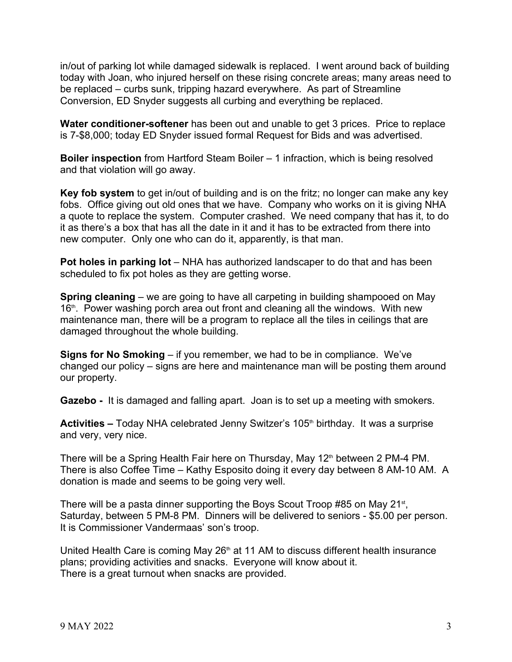in/out of parking lot while damaged sidewalk is replaced. I went around back of building today with Joan, who injured herself on these rising concrete areas; many areas need to be replaced – curbs sunk, tripping hazard everywhere. As part of Streamline Conversion, ED Snyder suggests all curbing and everything be replaced.

**Water conditioner-softener** has been out and unable to get 3 prices. Price to replace is 7-\$8,000; today ED Snyder issued formal Request for Bids and was advertised.

**Boiler inspection** from Hartford Steam Boiler – 1 infraction, which is being resolved and that violation will go away.

**Key fob system** to get in/out of building and is on the fritz; no longer can make any key fobs. Office giving out old ones that we have. Company who works on it is giving NHA a quote to replace the system. Computer crashed. We need company that has it, to do it as there's a box that has all the date in it and it has to be extracted from there into new computer. Only one who can do it, apparently, is that man.

**Pot holes in parking lot** – NHA has authorized landscaper to do that and has been scheduled to fix pot holes as they are getting worse.

**Spring cleaning** – we are going to have all carpeting in building shampooed on May 16<sup>th</sup>. Power washing porch area out front and cleaning all the windows. With new maintenance man, there will be a program to replace all the tiles in ceilings that are damaged throughout the whole building.

**Signs for No Smoking** – if you remember, we had to be in compliance. We've changed our policy – signs are here and maintenance man will be posting them around our property.

**Gazebo -** It is damaged and falling apart. Joan is to set up a meeting with smokers.

Activities – Today NHA celebrated Jenny Switzer's 105<sup>th</sup> birthday. It was a surprise and very, very nice.

There will be a Spring Health Fair here on Thursday, May 12<sup>th</sup> between 2 PM-4 PM. There is also Coffee Time – Kathy Esposito doing it every day between 8 AM-10 AM. A donation is made and seems to be going very well.

There will be a pasta dinner supporting the Boys Scout Troop #85 on May 21<sup>st</sup>, Saturday, between 5 PM-8 PM. Dinners will be delivered to seniors - \$5.00 per person. It is Commissioner Vandermaas' son's troop.

United Health Care is coming May  $26<sup>th</sup>$  at 11 AM to discuss different health insurance plans; providing activities and snacks. Everyone will know about it. There is a great turnout when snacks are provided.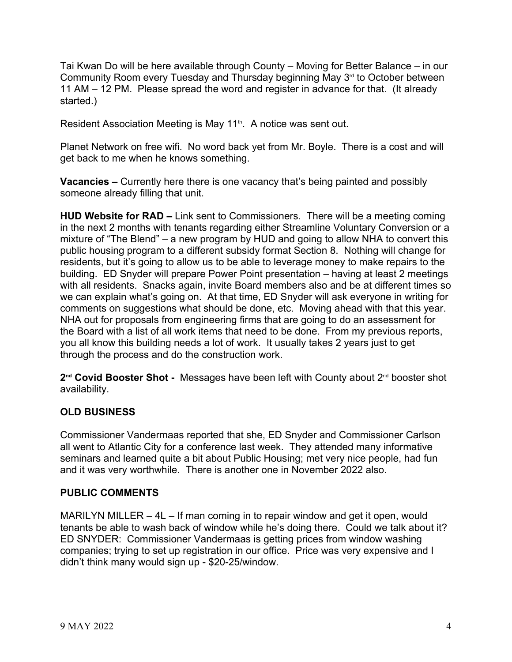Tai Kwan Do will be here available through County – Moving for Better Balance – in our Community Room every Tuesday and Thursday beginning May  $3<sup>rd</sup>$  to October between 11 AM – 12 PM. Please spread the word and register in advance for that. (It already started.)

Resident Association Meeting is May 11<sup>th</sup>. A notice was sent out.

Planet Network on free wifi. No word back yet from Mr. Boyle. There is a cost and will get back to me when he knows something.

**Vacancies –** Currently here there is one vacancy that's being painted and possibly someone already filling that unit.

**HUD Website for RAD –** Link sent to Commissioners. There will be a meeting coming in the next 2 months with tenants regarding either Streamline Voluntary Conversion or a mixture of "The Blend" – a new program by HUD and going to allow NHA to convert this public housing program to a different subsidy format Section 8. Nothing will change for residents, but it's going to allow us to be able to leverage money to make repairs to the building. ED Snyder will prepare Power Point presentation – having at least 2 meetings with all residents. Snacks again, invite Board members also and be at different times so we can explain what's going on. At that time, ED Snyder will ask everyone in writing for comments on suggestions what should be done, etc. Moving ahead with that this year. NHA out for proposals from engineering firms that are going to do an assessment for the Board with a list of all work items that need to be done. From my previous reports, you all know this building needs a lot of work. It usually takes 2 years just to get through the process and do the construction work.

**2 nd Covid Booster Shot -** Messages have been left with County about 2nd booster shot availability.

### **OLD BUSINESS**

Commissioner Vandermaas reported that she, ED Snyder and Commissioner Carlson all went to Atlantic City for a conference last week. They attended many informative seminars and learned quite a bit about Public Housing; met very nice people, had fun and it was very worthwhile. There is another one in November 2022 also.

### **PUBLIC COMMENTS**

MARILYN MILLER – 4L – If man coming in to repair window and get it open, would tenants be able to wash back of window while he's doing there. Could we talk about it? ED SNYDER: Commissioner Vandermaas is getting prices from window washing companies; trying to set up registration in our office. Price was very expensive and I didn't think many would sign up - \$20-25/window.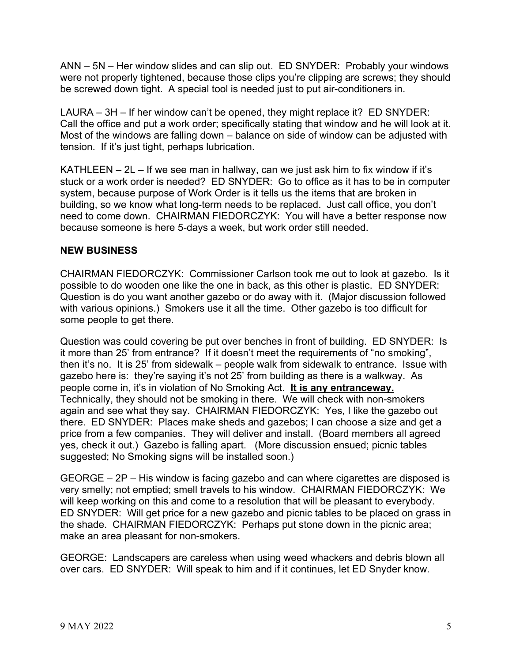ANN – 5N – Her window slides and can slip out. ED SNYDER: Probably your windows were not properly tightened, because those clips you're clipping are screws; they should be screwed down tight. A special tool is needed just to put air-conditioners in.

LAURA – 3H – If her window can't be opened, they might replace it? ED SNYDER: Call the office and put a work order; specifically stating that window and he will look at it. Most of the windows are falling down – balance on side of window can be adjusted with tension. If it's just tight, perhaps lubrication.

KATHLEEN  $-2L -$  If we see man in hallway, can we just ask him to fix window if it's stuck or a work order is needed? ED SNYDER: Go to office as it has to be in computer system, because purpose of Work Order is it tells us the items that are broken in building, so we know what long-term needs to be replaced. Just call office, you don't need to come down. CHAIRMAN FIEDORCZYK: You will have a better response now because someone is here 5-days a week, but work order still needed.

# **NEW BUSINESS**

CHAIRMAN FIEDORCZYK: Commissioner Carlson took me out to look at gazebo. Is it possible to do wooden one like the one in back, as this other is plastic. ED SNYDER: Question is do you want another gazebo or do away with it. (Major discussion followed with various opinions.) Smokers use it all the time. Other gazebo is too difficult for some people to get there.

Question was could covering be put over benches in front of building. ED SNYDER: Is it more than 25' from entrance? If it doesn't meet the requirements of "no smoking", then it's no. It is 25' from sidewalk – people walk from sidewalk to entrance. Issue with gazebo here is: they're saying it's not 25' from building as there is a walkway. As people come in, it's in violation of No Smoking Act. **It is any entranceway.** Technically, they should not be smoking in there. We will check with non-smokers again and see what they say. CHAIRMAN FIEDORCZYK: Yes, I like the gazebo out there. ED SNYDER: Places make sheds and gazebos; I can choose a size and get a price from a few companies. They will deliver and install. (Board members all agreed yes, check it out.) Gazebo is falling apart. (More discussion ensued; picnic tables suggested; No Smoking signs will be installed soon.)

GEORGE – 2P – His window is facing gazebo and can where cigarettes are disposed is very smelly; not emptied; smell travels to his window. CHAIRMAN FIEDORCZYK: We will keep working on this and come to a resolution that will be pleasant to everybody. ED SNYDER: Will get price for a new gazebo and picnic tables to be placed on grass in the shade. CHAIRMAN FIEDORCZYK: Perhaps put stone down in the picnic area; make an area pleasant for non-smokers.

GEORGE: Landscapers are careless when using weed whackers and debris blown all over cars. ED SNYDER: Will speak to him and if it continues, let ED Snyder know.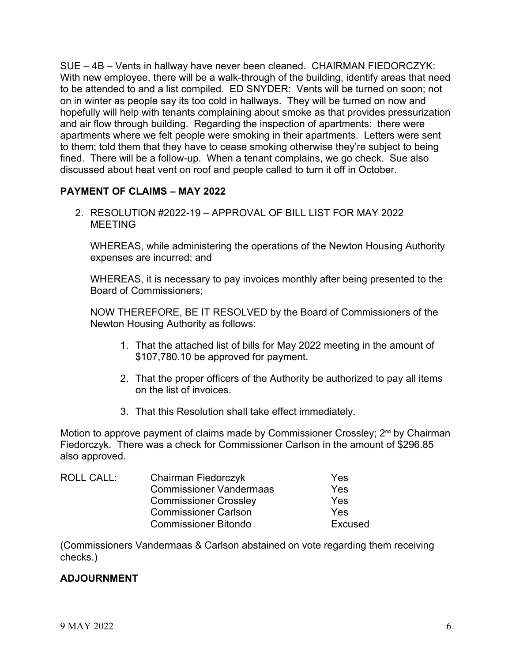SUE – 4B – Vents in hallway have never been cleaned. CHAIRMAN FIEDORCZYK: With new employee, there will be a walk-through of the building, identify areas that need to be attended to and a list compiled. ED SNYDER: Vents will be turned on soon; not on in winter as people say its too cold in hallways. They will be turned on now and hopefully will help with tenants complaining about smoke as that provides pressurization and air flow through building. Regarding the inspection of apartments: there were apartments where we felt people were smoking in their apartments. Letters were sent to them; told them that they have to cease smoking otherwise they're subject to being fined. There will be a follow-up. When a tenant complains, we go check. Sue also discussed about heat vent on roof and people called to turn it off in October.

# **PAYMENT OF CLAIMS – MAY 2022**

2. RESOLUTION #2022-19 – APPROVAL OF BILL LIST FOR MAY 2022 MEETING

WHEREAS, while administering the operations of the Newton Housing Authority expenses are incurred; and

WHEREAS, it is necessary to pay invoices monthly after being presented to the Board of Commissioners;

NOW THEREFORE, BE IT RESOLVED by the Board of Commissioners of the Newton Housing Authority as follows:

- 1. That the attached list of bills for May 2022 meeting in the amount of \$107,780.10 be approved for payment.
- 2. That the proper officers of the Authority be authorized to pay all items on the list of invoices.
- 3. That this Resolution shall take effect immediately.

Motion to approve payment of claims made by Commissioner Crossley; 2<sup>nd</sup> by Chairman Fiedorczyk. There was a check for Commissioner Carlson in the amount of \$296.85 also approved.

| ROLL CALL: | Chairman Fiedorczyk            | Yes     |  |
|------------|--------------------------------|---------|--|
|            | <b>Commissioner Vandermaas</b> | Yes     |  |
|            | <b>Commissioner Crossley</b>   | Yes     |  |
|            | <b>Commissioner Carlson</b>    | Yes     |  |
|            | <b>Commissioner Bitondo</b>    | Excused |  |

(Commissioners Vandermaas & Carlson abstained on vote regarding them receiving checks.)

# **ADJOURNMENT**